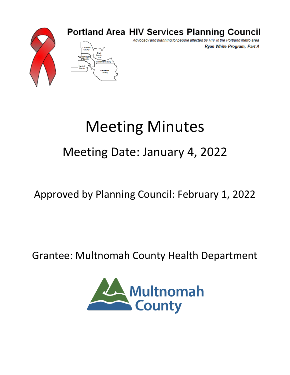

## **Portland Area HIV Services Planning Council**

Advocacy and planning for people affected by HIV in the Portland metro area Ryan White Program, Part A

# Meeting Minutes

## Meeting Date: January 4, 2022

## Approved by Planning Council: February 1, 2022

### Grantee: Multnomah County Health Department

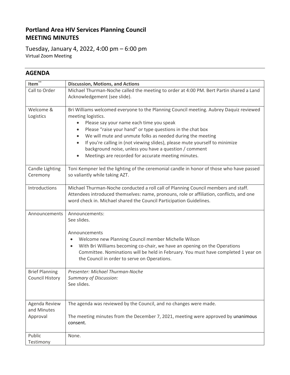#### **Portland Area HIV Services Planning Council MEETING MINUTES**

Tuesday, January 4, 2022, 4:00 pm – 6:00 pm Virtual Zoom Meeting

#### **AGENDA**

| Item                   | <b>Discussion, Motions, and Actions</b>                                                                                 |  |  |  |  |  |
|------------------------|-------------------------------------------------------------------------------------------------------------------------|--|--|--|--|--|
| Call to Order          | Michael Thurman-Noche called the meeting to order at 4:00 PM. Bert Partin shared a Land<br>Acknowledgement (see slide). |  |  |  |  |  |
| Welcome &              | Bri Williams welcomed everyone to the Planning Council meeting. Aubrey Daquiz reviewed                                  |  |  |  |  |  |
| Logistics              | meeting logistics.                                                                                                      |  |  |  |  |  |
|                        | Please say your name each time you speak<br>٠                                                                           |  |  |  |  |  |
|                        | Please "raise your hand" or type questions in the chat box<br>٠                                                         |  |  |  |  |  |
|                        | We will mute and unmute folks as needed during the meeting                                                              |  |  |  |  |  |
|                        | If you're calling in (not viewing slides), please mute yourself to minimize<br>$\bullet$                                |  |  |  |  |  |
|                        | background noise, unless you have a question / comment                                                                  |  |  |  |  |  |
|                        | Meetings are recorded for accurate meeting minutes.<br>$\bullet$                                                        |  |  |  |  |  |
| Candle Lighting        | Toni Kempner led the lighting of the ceremonial candle in honor of those who have passed                                |  |  |  |  |  |
| Ceremony               | so valiantly while taking AZT.                                                                                          |  |  |  |  |  |
| Introductions          | Michael Thurman-Noche conducted a roll call of Planning Council members and staff.                                      |  |  |  |  |  |
|                        | Attendees introduced themselves: name, pronouns, role or affiliation, conflicts, and one                                |  |  |  |  |  |
|                        | word check in. Michael shared the Council Participation Guidelines.                                                     |  |  |  |  |  |
| Announcements          | Announcements:                                                                                                          |  |  |  |  |  |
|                        | See slides.                                                                                                             |  |  |  |  |  |
|                        | Announcements                                                                                                           |  |  |  |  |  |
|                        | Welcome new Planning Council member Michelle Wilson<br>$\bullet$                                                        |  |  |  |  |  |
|                        | With Bri Williams becoming co-chair, we have an opening on the Operations<br>$\bullet$                                  |  |  |  |  |  |
|                        | Committee. Nominations will be held in February. You must have completed 1 year on                                      |  |  |  |  |  |
|                        | the Council in order to serve on Operations.                                                                            |  |  |  |  |  |
|                        |                                                                                                                         |  |  |  |  |  |
| <b>Brief Planning</b>  | Presenter: Michael Thurman-Noche                                                                                        |  |  |  |  |  |
| <b>Council History</b> | <b>Summary of Discussion:</b>                                                                                           |  |  |  |  |  |
|                        | See slides.                                                                                                             |  |  |  |  |  |
|                        |                                                                                                                         |  |  |  |  |  |
| Agenda Review          | The agenda was reviewed by the Council, and no changes were made.                                                       |  |  |  |  |  |
| and Minutes            |                                                                                                                         |  |  |  |  |  |
| Approval               | The meeting minutes from the December 7, 2021, meeting were approved by unanimous                                       |  |  |  |  |  |
|                        | consent.                                                                                                                |  |  |  |  |  |
| Public                 | None.                                                                                                                   |  |  |  |  |  |
| Testimony              |                                                                                                                         |  |  |  |  |  |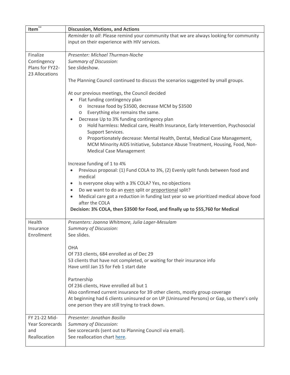| Item $\overline{\mathbf{r}^*}$ | <b>Discussion, Motions, and Actions</b>                                                                        |  |  |  |  |  |  |  |
|--------------------------------|----------------------------------------------------------------------------------------------------------------|--|--|--|--|--|--|--|
|                                | Reminder to all: Please remind your community that we are always looking for community                         |  |  |  |  |  |  |  |
|                                | input on their experience with HIV services.                                                                   |  |  |  |  |  |  |  |
|                                |                                                                                                                |  |  |  |  |  |  |  |
| Finalize                       | Presenter: Michael Thurman-Noche                                                                               |  |  |  |  |  |  |  |
| Contingency                    | <b>Summary of Discussion:</b>                                                                                  |  |  |  |  |  |  |  |
| Plans for FY22-                | See slideshow.                                                                                                 |  |  |  |  |  |  |  |
| 23 Allocations                 |                                                                                                                |  |  |  |  |  |  |  |
|                                | The Planning Council continued to discuss the scenarios suggested by small groups.                             |  |  |  |  |  |  |  |
|                                |                                                                                                                |  |  |  |  |  |  |  |
|                                | At our previous meetings, the Council decided                                                                  |  |  |  |  |  |  |  |
|                                | Flat funding contingency plan<br>٠                                                                             |  |  |  |  |  |  |  |
|                                | Increase food by \$3500, decrease MCM by \$3500<br>$\circ$                                                     |  |  |  |  |  |  |  |
|                                | Everything else remains the same.<br>$\circ$                                                                   |  |  |  |  |  |  |  |
|                                | Decrease Up to 3% funding contingency plan<br>$\bullet$                                                        |  |  |  |  |  |  |  |
|                                | Hold harmless: Medical care, Health Insurance, Early Intervention, Psychosocial<br>$\circ$                     |  |  |  |  |  |  |  |
|                                | Support Services.                                                                                              |  |  |  |  |  |  |  |
|                                | Proportionately decrease: Mental Health, Dental, Medical Case Management,<br>$\circ$                           |  |  |  |  |  |  |  |
|                                | MCM Minority AIDS Initiative, Substance Abuse Treatment, Housing, Food, Non-<br><b>Medical Case Management</b> |  |  |  |  |  |  |  |
|                                |                                                                                                                |  |  |  |  |  |  |  |
|                                | Increase funding of 1 to 4%                                                                                    |  |  |  |  |  |  |  |
|                                | Previous proposal: (1) Fund COLA to 3%, (2) Evenly split funds between food and<br>$\bullet$                   |  |  |  |  |  |  |  |
|                                | medical                                                                                                        |  |  |  |  |  |  |  |
|                                | Is everyone okay with a 3% COLA? Yes, no objections<br>$\bullet$                                               |  |  |  |  |  |  |  |
|                                | Do we want to do an even split or proportional split?<br>$\bullet$                                             |  |  |  |  |  |  |  |
|                                | Medical care got a reduction in funding last year so we prioritized medical above food<br>$\bullet$            |  |  |  |  |  |  |  |
|                                | after the COLA                                                                                                 |  |  |  |  |  |  |  |
|                                | Decision: 3% COLA, then \$3500 for Food, and finally up to \$55,760 for Medical                                |  |  |  |  |  |  |  |
|                                |                                                                                                                |  |  |  |  |  |  |  |
| Health                         | Presenters: Joanna Whitmore, Julia Lager-Mesulam                                                               |  |  |  |  |  |  |  |
| Insurance                      | <b>Summary of Discussion:</b>                                                                                  |  |  |  |  |  |  |  |
| Enrollment                     | See slides.                                                                                                    |  |  |  |  |  |  |  |
|                                |                                                                                                                |  |  |  |  |  |  |  |
|                                | OHA                                                                                                            |  |  |  |  |  |  |  |
|                                | Of 733 clients, 684 enrolled as of Dec 29                                                                      |  |  |  |  |  |  |  |
|                                | 53 clients that have not completed, or waiting for their insurance info                                        |  |  |  |  |  |  |  |
|                                | Have until Jan 15 for Feb 1 start date                                                                         |  |  |  |  |  |  |  |
|                                |                                                                                                                |  |  |  |  |  |  |  |
|                                | Partnership                                                                                                    |  |  |  |  |  |  |  |
|                                | Of 236 clients, Have enrolled all but 1                                                                        |  |  |  |  |  |  |  |
|                                | Also confirmed current insurance for 39 other clients, mostly group coverage                                   |  |  |  |  |  |  |  |
|                                | At beginning had 6 clients uninsured or on UP (Uninsured Persons) or Gap, so there's only                      |  |  |  |  |  |  |  |
|                                | one person they are still trying to track down.                                                                |  |  |  |  |  |  |  |
| FY 21-22 Mid-                  | Presenter: Jonathan Basilio                                                                                    |  |  |  |  |  |  |  |
| Year Scorecards                | <b>Summary of Discussion:</b>                                                                                  |  |  |  |  |  |  |  |
| and                            | See scorecards (sent out to Planning Council via email).                                                       |  |  |  |  |  |  |  |
| Reallocation                   | See reallocation chart here.                                                                                   |  |  |  |  |  |  |  |
|                                |                                                                                                                |  |  |  |  |  |  |  |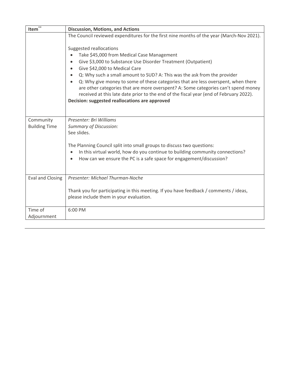| Item $\overline{\mathbf{r}^*}$    | <b>Discussion, Motions, and Actions</b>                                                                                                                                                                                                                                                                                                                                                                                                                                                                                                                                                                                |
|-----------------------------------|------------------------------------------------------------------------------------------------------------------------------------------------------------------------------------------------------------------------------------------------------------------------------------------------------------------------------------------------------------------------------------------------------------------------------------------------------------------------------------------------------------------------------------------------------------------------------------------------------------------------|
|                                   | The Council reviewed expenditures for the first nine months of the year (March-Nov 2021).                                                                                                                                                                                                                                                                                                                                                                                                                                                                                                                              |
|                                   | Suggested reallocations<br>Take \$45,000 from Medical Case Management<br>Give \$3,000 to Substance Use Disorder Treatment (Outpatient)<br>$\bullet$<br>Give \$42,000 to Medical Care<br>٠<br>Q: Why such a small amount to SUD? A: This was the ask from the provider<br>$\bullet$<br>Q: Why give money to some of these categories that are less overspent, when there<br>$\bullet$<br>are other categories that are more overspent? A: Some categories can't spend money<br>received at this late date prior to the end of the fiscal year (end of February 2022).<br>Decision: suggested reallocations are approved |
| Community<br><b>Building Time</b> | Presenter: Bri Williams<br><b>Summary of Discussion:</b><br>See slides.<br>The Planning Council split into small groups to discuss two questions:<br>In this virtual world, how do you continue to building community connections?<br>$\bullet$<br>How can we ensure the PC is a safe space for engagement/discussion?<br>$\bullet$                                                                                                                                                                                                                                                                                    |
| <b>Eval and Closing</b>           | Presenter: Michael Thurman-Noche<br>Thank you for participating in this meeting. If you have feedback / comments / ideas,<br>please include them in your evaluation.                                                                                                                                                                                                                                                                                                                                                                                                                                                   |
| Time of<br>Adjournment            | 6:00 PM                                                                                                                                                                                                                                                                                                                                                                                                                                                                                                                                                                                                                |